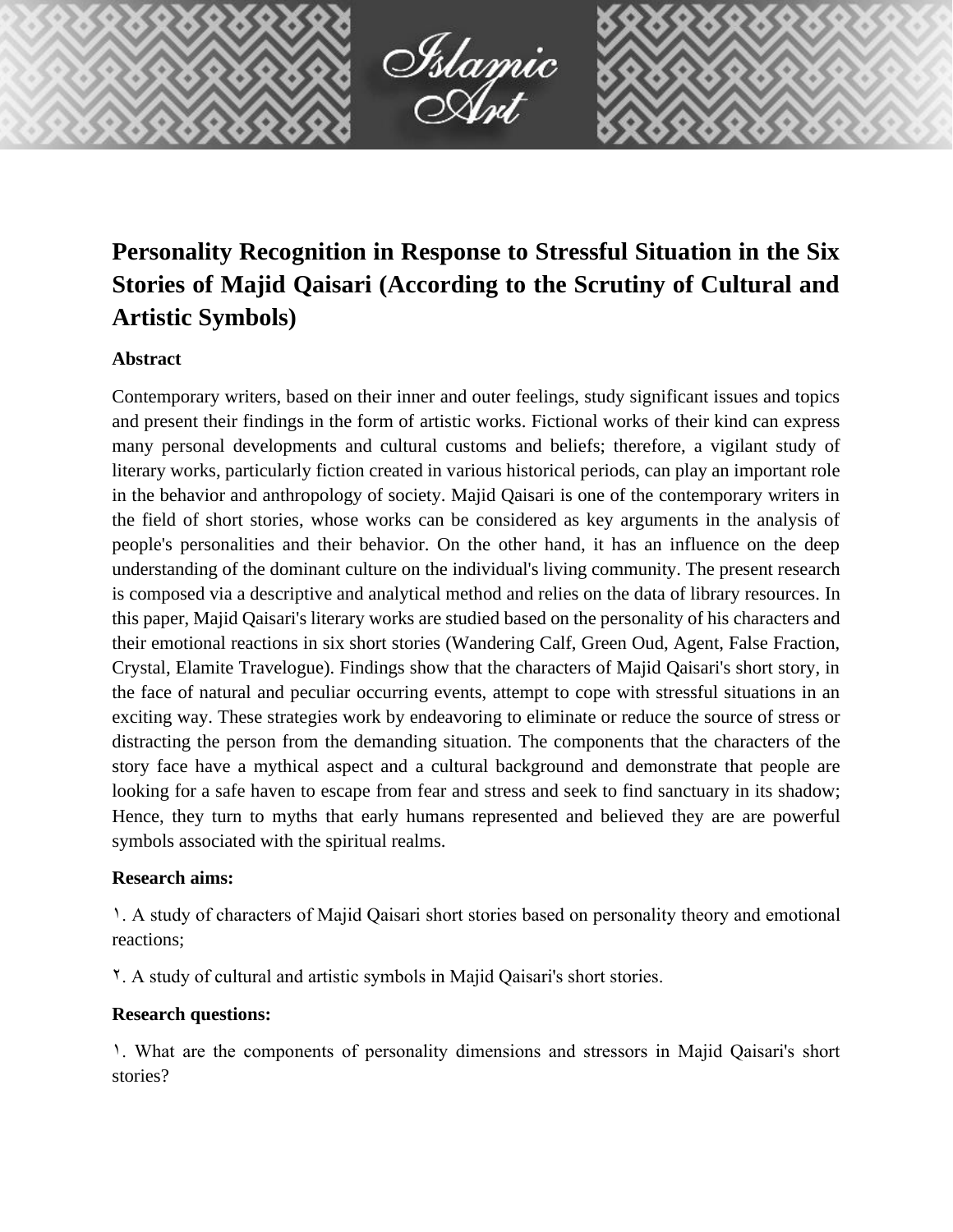

# **Personality Recognition in Response to Stressful Situation in the Six Stories of Majid Qaisari (According to the Scrutiny of Cultural and Artistic Symbols)**

# **Abstract**

Contemporary writers, based on their inner and outer feelings, study significant issues and topics and present their findings in the form of artistic works. Fictional works of their kind can express many personal developments and cultural customs and beliefs; therefore, a vigilant study of literary works, particularly fiction created in various historical periods, can play an important role in the behavior and anthropology of society. Majid Qaisari is one of the contemporary writers in the field of short stories, whose works can be considered as key arguments in the analysis of people's personalities and their behavior. On the other hand, it has an influence on the deep understanding of the dominant culture on the individual's living community. The present research is composed via a descriptive and analytical method and relies on the data of library resources. In this paper, Majid Qaisari's literary works are studied based on the personality of his characters and their emotional reactions in six short stories (Wandering Calf, Green Oud, Agent, False Fraction, Crystal, Elamite Travelogue). Findings show that the characters of Majid Qaisari's short story, in the face of natural and peculiar occurring events, attempt to cope with stressful situations in an exciting way. These strategies work by endeavoring to eliminate or reduce the source of stress or distracting the person from the demanding situation. The components that the characters of the story face have a mythical aspect and a cultural background and demonstrate that people are looking for a safe haven to escape from fear and stress and seek to find sanctuary in its shadow; Hence, they turn to myths that early humans represented and believed they are are powerful symbols associated with the spiritual realms.

# **Research aims:**

1. A study of characters of Majid Qaisari short stories based on personality theory and emotional reactions;

2. A study of cultural and artistic symbols in Majid Qaisari's short stories.

# **Research questions:**

1. What are the components of personality dimensions and stressors in Majid Qaisari's short stories?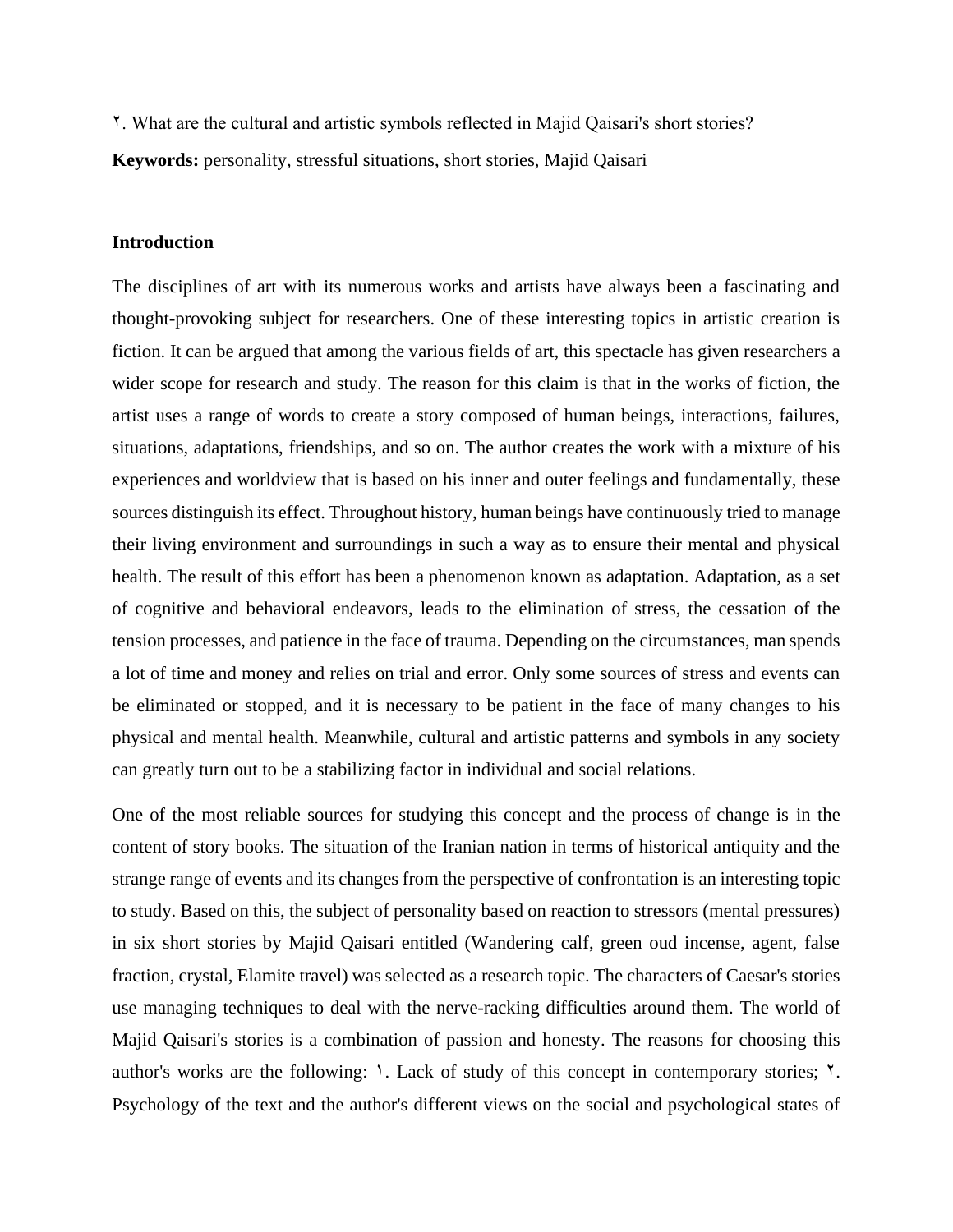2. What are the cultural and artistic symbols reflected in Majid Qaisari's short stories?

**Keywords:** personality, stressful situations, short stories, Majid Qaisari

### **Introduction**

The disciplines of art with its numerous works and artists have always been a fascinating and thought-provoking subject for researchers. One of these interesting topics in artistic creation is fiction. It can be argued that among the various fields of art, this spectacle has given researchers a wider scope for research and study. The reason for this claim is that in the works of fiction, the artist uses a range of words to create a story composed of human beings, interactions, failures, situations, adaptations, friendships, and so on. The author creates the work with a mixture of his experiences and worldview that is based on his inner and outer feelings and fundamentally, these sources distinguish its effect. Throughout history, human beings have continuously tried to manage their living environment and surroundings in such a way as to ensure their mental and physical health. The result of this effort has been a phenomenon known as adaptation. Adaptation, as a set of cognitive and behavioral endeavors, leads to the elimination of stress, the cessation of the tension processes, and patience in the face of trauma. Depending on the circumstances, man spends a lot of time and money and relies on trial and error. Only some sources of stress and events can be eliminated or stopped, and it is necessary to be patient in the face of many changes to his physical and mental health. Meanwhile, cultural and artistic patterns and symbols in any society can greatly turn out to be a stabilizing factor in individual and social relations.

One of the most reliable sources for studying this concept and the process of change is in the content of story books. The situation of the Iranian nation in terms of historical antiquity and the strange range of events and its changes from the perspective of confrontation is an interesting topic to study. Based on this, the subject of personality based on reaction to stressors (mental pressures) in six short stories by Majid Qaisari entitled (Wandering calf, green oud incense, agent, false fraction, crystal, Elamite travel) was selected as a research topic. The characters of Caesar's stories use managing techniques to deal with the nerve-racking difficulties around them. The world of Majid Qaisari's stories is a combination of passion and honesty. The reasons for choosing this author's works are the following:  $\lambda$ . Lack of study of this concept in contemporary stories;  $\lambda$ . Psychology of the text and the author's different views on the social and psychological states of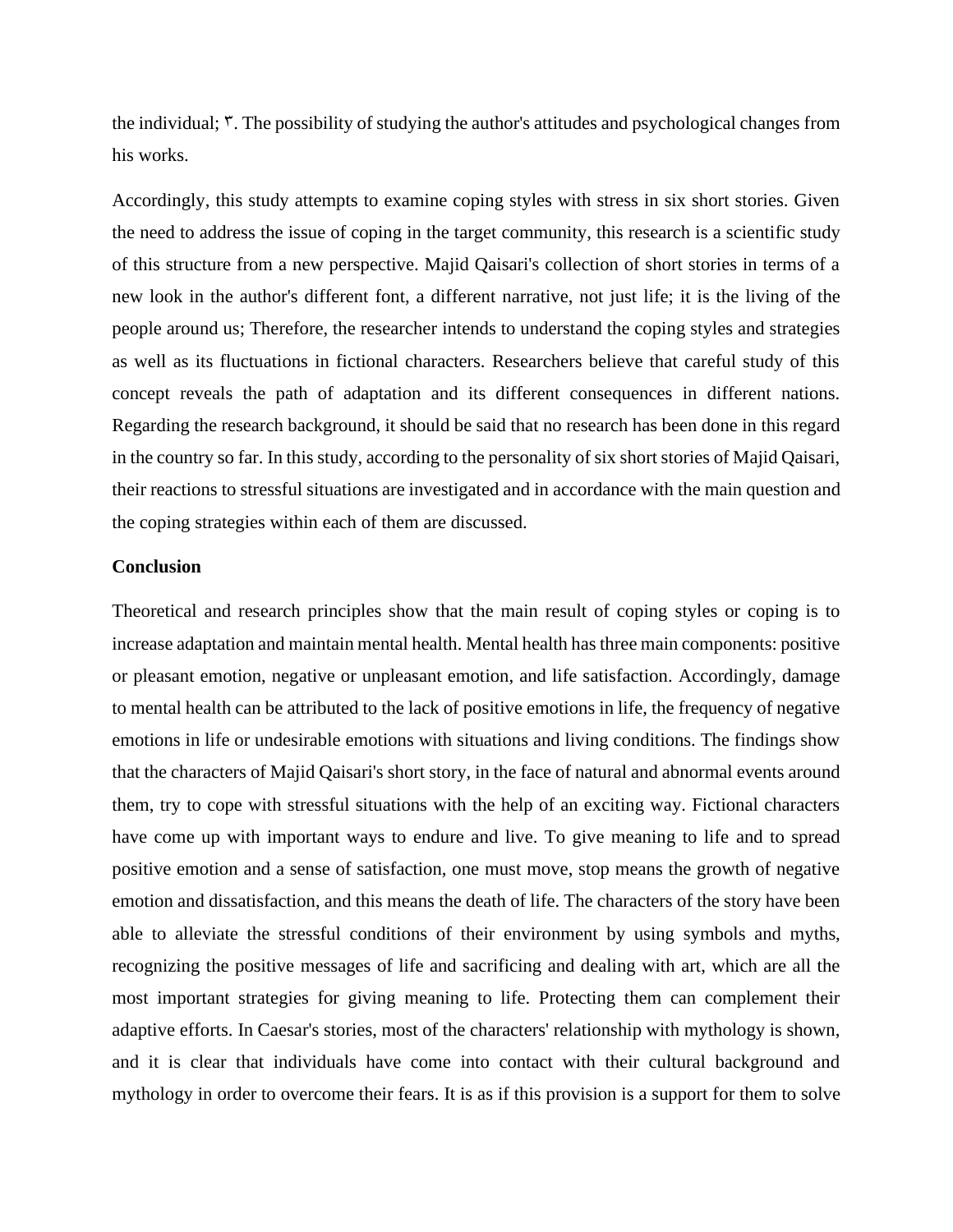the individual; 3. The possibility of studying the author's attitudes and psychological changes from his works.

Accordingly, this study attempts to examine coping styles with stress in six short stories. Given the need to address the issue of coping in the target community, this research is a scientific study of this structure from a new perspective. Majid Qaisari's collection of short stories in terms of a new look in the author's different font, a different narrative, not just life; it is the living of the people around us; Therefore, the researcher intends to understand the coping styles and strategies as well as its fluctuations in fictional characters. Researchers believe that careful study of this concept reveals the path of adaptation and its different consequences in different nations. Regarding the research background, it should be said that no research has been done in this regard in the country so far. In this study, according to the personality of six short stories of Majid Qaisari, their reactions to stressful situations are investigated and in accordance with the main question and the coping strategies within each of them are discussed.

#### **Conclusion**

Theoretical and research principles show that the main result of coping styles or coping is to increase adaptation and maintain mental health. Mental health has three main components: positive or pleasant emotion, negative or unpleasant emotion, and life satisfaction. Accordingly, damage to mental health can be attributed to the lack of positive emotions in life, the frequency of negative emotions in life or undesirable emotions with situations and living conditions. The findings show that the characters of Majid Qaisari's short story, in the face of natural and abnormal events around them, try to cope with stressful situations with the help of an exciting way. Fictional characters have come up with important ways to endure and live. To give meaning to life and to spread positive emotion and a sense of satisfaction, one must move, stop means the growth of negative emotion and dissatisfaction, and this means the death of life. The characters of the story have been able to alleviate the stressful conditions of their environment by using symbols and myths, recognizing the positive messages of life and sacrificing and dealing with art, which are all the most important strategies for giving meaning to life. Protecting them can complement their adaptive efforts. In Caesar's stories, most of the characters' relationship with mythology is shown, and it is clear that individuals have come into contact with their cultural background and mythology in order to overcome their fears. It is as if this provision is a support for them to solve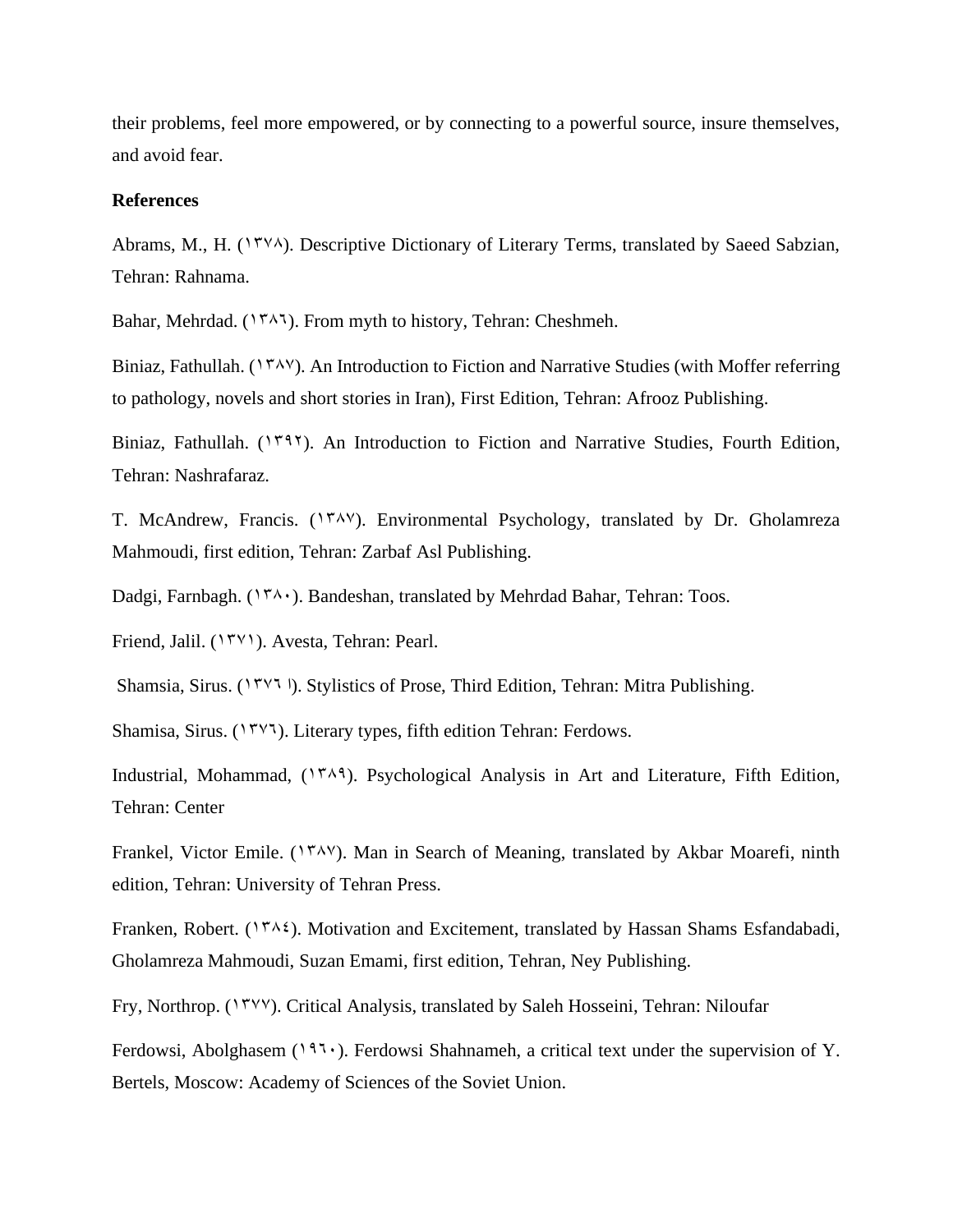their problems, feel more empowered, or by connecting to a powerful source, insure themselves, and avoid fear.

#### **References**

Abrams, M., H.  $(1587)$ . Descriptive Dictionary of Literary Terms, translated by Saeed Sabzian, Tehran: Rahnama.

Bahar, Mehrdad. ( $17\lambda$ ). From myth to history, Tehran: Cheshmeh.

Biniaz, Fathullah. ( $17\lambda$ <sup>V</sup>). An Introduction to Fiction and Narrative Studies (with Moffer referring to pathology, novels and short stories in Iran), First Edition, Tehran: Afrooz Publishing.

Biniaz, Fathullah.  $(1797)$ . An Introduction to Fiction and Narrative Studies, Fourth Edition, Tehran: Nashrafaraz.

T. McAndrew, Francis. (1748). Environmental Psychology, translated by Dr. Gholamreza Mahmoudi, first edition, Tehran: Zarbaf Asl Publishing.

Dadgi, Farnbagh. (1740). Bandeshan, translated by Mehrdad Bahar, Tehran: Toos.

Friend, Jalil. (1571). Avesta, Tehran: Pearl.

Shamsia, Sirus. (1777). Stylistics of Prose, Third Edition, Tehran: Mitra Publishing.

Shamisa, Sirus. (1777). Literary types, fifth edition Tehran: Ferdows.

Industrial, Mohammad,  $(154)$ . Psychological Analysis in Art and Literature, Fifth Edition, Tehran: Center

Frankel, Victor Emile. (1 $\mu$ <sup>x</sup>). Man in Search of Meaning, translated by Akbar Moarefi, ninth edition, Tehran: University of Tehran Press.

Franken, Robert. ( $14\pi\lambda\zeta$ ). Motivation and Excitement, translated by Hassan Shams Esfandabadi, Gholamreza Mahmoudi, Suzan Emami, first edition, Tehran, Ney Publishing.

Fry, Northrop. (1377). Critical Analysis, translated by Saleh Hosseini, Tehran: Niloufar

Ferdowsi, Abolghasem (1971). Ferdowsi Shahnameh, a critical text under the supervision of Y. Bertels, Moscow: Academy of Sciences of the Soviet Union.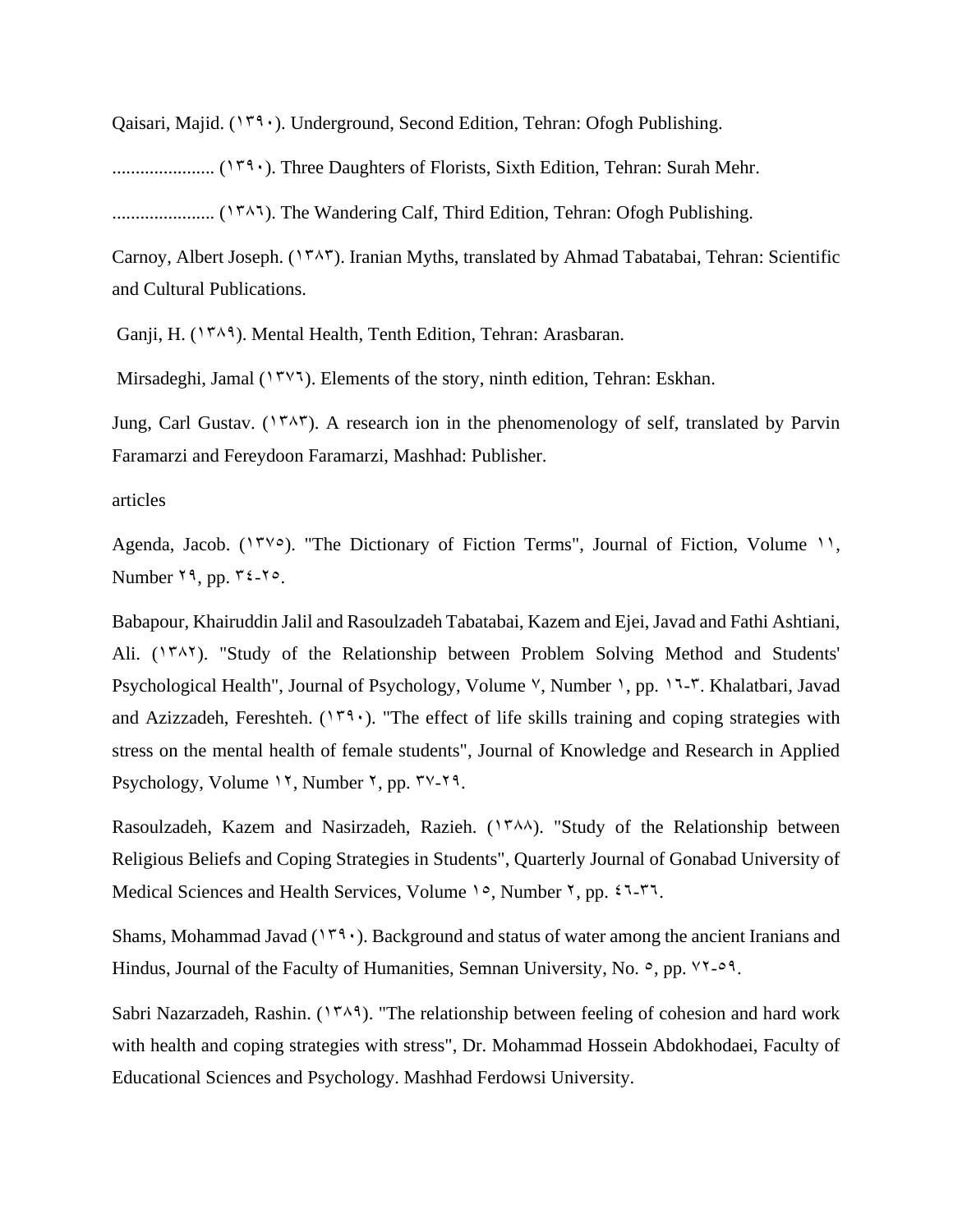Qaisari, Majid.  $(179 \cdot)$ . Underground, Second Edition, Tehran: Ofogh Publishing.

...................... (1390). Three Daughters of Florists, Sixth Edition, Tehran: Surah Mehr.

...................... (1386). The Wandering Calf, Third Edition, Tehran: Ofogh Publishing.

Carnoy, Albert Joseph. (1545). Iranian Myths, translated by Ahmad Tabatabai, Tehran: Scientific and Cultural Publications.

Ganji, H. (1<sup>88</sup>). Mental Health, Tenth Edition, Tehran: Arasbaran.

Mirsadeghi, Jamal  $(17\gamma)$ . Elements of the story, ninth edition, Tehran: Eskhan.

Jung, Carl Gustav. (1٣٨٣). A research ion in the phenomenology of self, translated by Parvin Faramarzi and Fereydoon Faramarzi, Mashhad: Publisher.

#### articles

Agenda, Jacob. ( $15\degree$ ). "The Dictionary of Fiction Terms", Journal of Fiction, Volume 11, Number  $19$ , pp.  $12 - 10$ .

Babapour, Khairuddin Jalil and Rasoulzadeh Tabatabai, Kazem and Ejei, Javad and Fathi Ashtiani, Ali.  $(\Upsilon^{\gamma} \wedge \Upsilon)$ . "Study of the Relationship between Problem Solving Method and Students' Psychological Health", Journal of Psychology, Volume <sup>V</sup>, Number 1, pp. 17-7. Khalatbari, Javad and Azizzadeh, Fereshteh. ( $149$ <sup>c</sup>). "The effect of life skills training and coping strategies with stress on the mental health of female students", Journal of Knowledge and Research in Applied Psychology, Volume  $15$ , Number  $5$ , pp.  $54.79$ .

Rasoulzadeh, Kazem and Nasirzadeh, Razieh. (1584). "Study of the Relationship between Religious Beliefs and Coping Strategies in Students", Quarterly Journal of Gonabad University of Medical Sciences and Health Services, Volume 10, Number  $\zeta$ , pp.  $\zeta \zeta$ -7.

Shams, Mohammad Javad ( $149 \cdot$ ). Background and status of water among the ancient Iranians and Hindus, Journal of the Faculty of Humanities, Semnan University, No.  $\circ$ , pp.  $\forall$  $\forall$ - $\circ$  $\land$ .

Sabri Nazarzadeh, Rashin.  $(1484)$ . "The relationship between feeling of cohesion and hard work with health and coping strategies with stress", Dr. Mohammad Hossein Abdokhodaei, Faculty of Educational Sciences and Psychology. Mashhad Ferdowsi University.